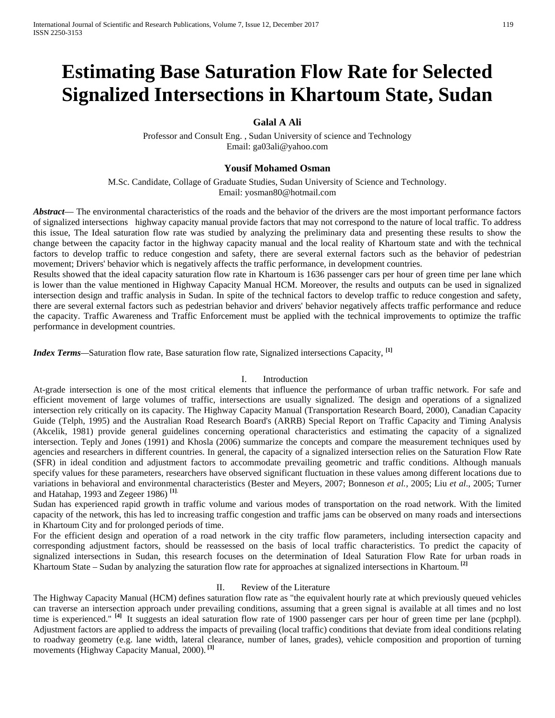# **Estimating Base Saturation Flow Rate for Selected Signalized Intersections in Khartoum State, Sudan**

## **Galal A Ali**

Professor and Consult Eng. , Sudan University of science and Technology Email: [ga03ali@yahoo.com](mailto:ga03ali@yahoo.com)

#### **Yousif Mohamed Osman**

M.Sc. Candidate, Collage of Graduate Studies, Sudan University of Science and Technology. Email: [yosman80@hotmail.com](mailto:yosman80@hotmail.com)

*Abstract*— The environmental characteristics of the roads and the behavior of the drivers are the most important performance factors of signalized intersections highway capacity manual provide factors that may not correspond to the nature of local traffic. To address this issue, The Ideal saturation flow rate was studied by analyzing the preliminary data and presenting these results to show the change between the capacity factor in the highway capacity manual and the local reality of Khartoum state and with the technical factors to develop traffic to reduce congestion and safety, there are several external factors such as the behavior of pedestrian movement; Drivers' behavior which is negatively affects the traffic performance, in development countries.

Results showed that the ideal capacity saturation flow rate in Khartoum is 1636 passenger cars per hour of green time per lane which is lower than the value mentioned in Highway Capacity Manual HCM. Moreover, the results and outputs can be used in signalized intersection design and traffic analysis in Sudan. In spite of the technical factors to develop traffic to reduce congestion and safety, there are several external factors such as pedestrian behavior and drivers' behavior negatively affects traffic performance and reduce the capacity. Traffic Awareness and Traffic Enforcement must be applied with the technical improvements to optimize the traffic performance in development countries.

*Index Terms—*Saturation flow rate, Base saturation flow rate, Signalized intersections Capacity, **[1]** 

#### I. Introduction

At-grade intersection is one of the most critical elements that influence the performance of urban traffic network. For safe and efficient movement of large volumes of traffic, intersections are usually signalized. The design and operations of a signalized intersection rely critically on its capacity. The Highway Capacity Manual (Transportation Research Board, 2000), Canadian Capacity Guide (Telph, 1995) and the Australian Road Research Board's (ARRB) Special Report on Traffic Capacity and Timing Analysis (Akcelik, 1981) provide general guidelines concerning operational characteristics and estimating the capacity of a signalized intersection. Teply and Jones (1991) and Khosla (2006) summarize the concepts and compare the measurement techniques used by agencies and researchers in different countries. In general, the capacity of a signalized intersection relies on the Saturation Flow Rate (SFR) in ideal condition and adjustment factors to accommodate prevailing geometric and traffic conditions. Although manuals specify values for these parameters, researchers have observed significant fluctuation in these values among different locations due to variations in behavioral and environmental characteristics (Bester and Meyers, 2007; Bonneson *et al.*, 2005; Liu *et al*., 2005; Turner and Hatahap, 1993 and Zegeer 1986) **[1]**.

Sudan has experienced rapid growth in traffic volume and various modes of transportation on the road network. With the limited capacity of the network, this has led to increasing traffic congestion and traffic jams can be observed on many roads and intersections in Khartoum City and for prolonged periods of time.

For the efficient design and operation of a road network in the city traffic flow parameters, including intersection capacity and corresponding adjustment factors, should be reassessed on the basis of local traffic characteristics. To predict the capacity of signalized intersections in Sudan, this research focuses on the determination of Ideal Saturation Flow Rate for urban roads in Khartoum State – Sudan by analyzing the saturation flow rate for approaches at signalized intersections in Khartoum. **[2]**

#### II. Review of the Literature

The Highway Capacity Manual (HCM) defines saturation flow rate as "the equivalent hourly rate at which previously queued vehicles can traverse an intersection approach under prevailing conditions, assuming that a green signal is available at all times and no lost time is experienced."<sup>[4]</sup> It suggests an ideal saturation flow rate of 1900 passenger cars per hour of green time per lane (pcphpl). Adjustment factors are applied to address the impacts of prevailing (local traffic) conditions that deviate from ideal conditions relating to roadway geometry (e.g. lane width, lateral clearance, number of lanes, grades), vehicle composition and proportion of turning movements (Highway Capacity Manual, 2000). **[3]**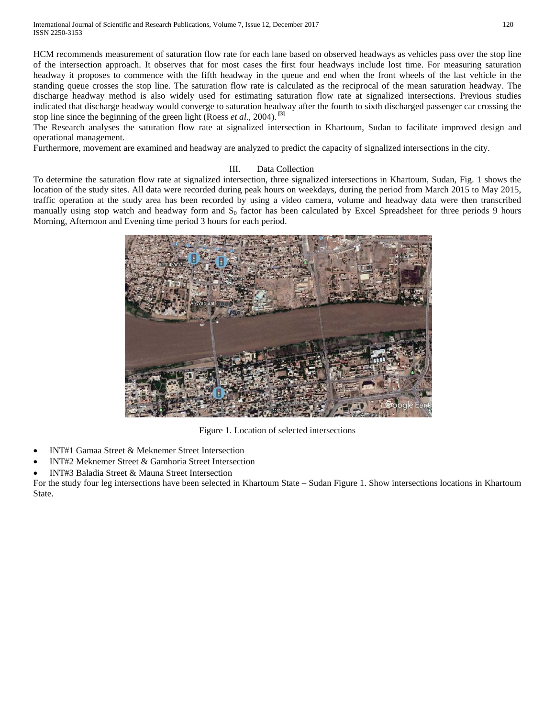International Journal of Scientific and Research Publications, Volume 7, Issue 12, December 2017 120 ISSN 2250-3153

HCM recommends measurement of saturation flow rate for each lane based on observed headways as vehicles pass over the stop line of the intersection approach. It observes that for most cases the first four headways include lost time. For measuring saturation headway it proposes to commence with the fifth headway in the queue and end when the front wheels of the last vehicle in the standing queue crosses the stop line. The saturation flow rate is calculated as the reciprocal of the mean saturation headway. The discharge headway method is also widely used for estimating saturation flow rate at signalized intersections. Previous studies indicated that discharge headway would converge to saturation headway after the fourth to sixth discharged passenger car crossing the stop line since the beginning of the green light (Roess *et al*., 2004). **[3]**

The Research analyses the saturation flow rate at signalized intersection in Khartoum, Sudan to facilitate improved design and operational management.

Furthermore, movement are examined and headway are analyzed to predict the capacity of signalized intersections in the city.

### III. Data Collection

To determine the saturation flow rate at signalized intersection, three signalized intersections in Khartoum, Sudan, Fig. 1 shows the location of the study sites. All data were recorded during peak hours on weekdays, during the period from March 2015 to May 2015, traffic operation at the study area has been recorded by using a video camera, volume and headway data were then transcribed manually using stop watch and headway form and  $S_0$  factor has been calculated by Excel Spreadsheet for three periods 9 hours Morning, Afternoon and Evening time period 3 hours for each period.



Figure 1. Location of selected intersections

- INT#1 Gamaa Street & Meknemer Street Intersection
- INT#2 Meknemer Street & Gamhoria Street Intersection
- INT#3 Baladia Street & Mauna Street Intersection

For the study four leg intersections have been selected in Khartoum State – Sudan Figure 1. Show intersections locations in Khartoum State.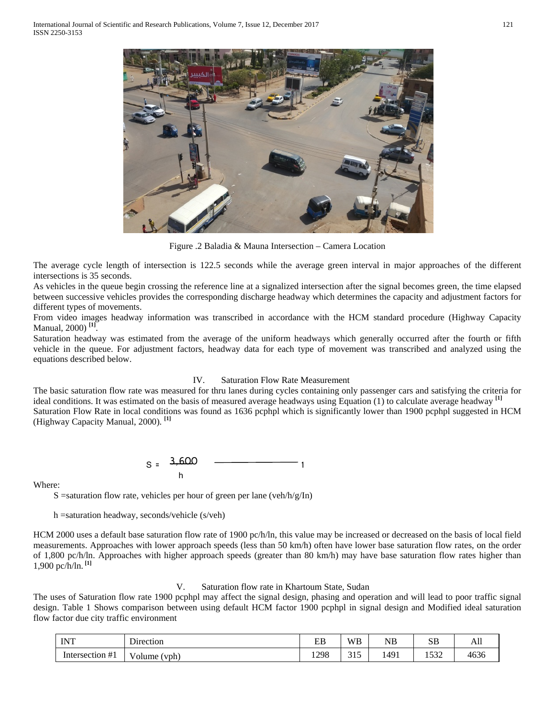

Figure .2 Baladia & Mauna Intersection – Camera Location

The average cycle length of intersection is 122.5 seconds while the average green interval in major approaches of the different intersections is 35 seconds.

As vehicles in the queue begin crossing the reference line at a signalized intersection after the signal becomes green, the time elapsed between successive vehicles provides the corresponding discharge headway which determines the capacity and adjustment factors for different types of movements.

From video images headway information was transcribed in accordance with the HCM standard procedure (Highway Capacity Manual, 2000) **[1]**.

Saturation headway was estimated from the average of the uniform headways which generally occurred after the fourth or fifth vehicle in the queue. For adjustment factors, headway data for each type of movement was transcribed and analyzed using the equations described below.

#### IV. Saturation Flow Rate Measurement

The basic saturation flow rate was measured for thru lanes during cycles containing only passenger cars and satisfying the criteria for ideal conditions. It was estimated on the basis of measured average headways using Equation (1) to calculate average headway **[1]** Saturation Flow Rate in local conditions was found as 1636 pcphpl which is significantly lower than 1900 pcphpl suggested in HCM (Highway Capacity Manual, 2000). **[1]**

$$
S = \frac{3,600}{h} \qquad \qquad \boxed{1}
$$

Where:

S = saturation flow rate, vehicles per hour of green per lane (veh/h/g/In)

h =saturation headway, seconds/vehicle (s/veh)

HCM 2000 uses a default base saturation flow rate of 1900 pc/h/ln, this value may be increased or decreased on the basis of local field measurements. Approaches with lower approach speeds (less than 50 km/h) often have lower base saturation flow rates, on the order of 1,800 pc/h/ln. Approaches with higher approach speeds (greater than 80 km/h) may have base saturation flow rates higher than 1,900 pc/h/ln. **[1]**

#### V. Saturation flow rate in Khartoum State, Sudan

The uses of Saturation flow rate 1900 pcphpl may affect the signal design, phasing and operation and will lead to poor traffic signal design. Table 1 Shows comparison between using default HCM factor 1900 pcphpl in signal design and Modified ideal saturation flow factor due city traffic environment

| <b>INT</b>      | Direction        | EB   | <b>WB</b>                     | NΒ   | SB                 | ъu                |
|-----------------|------------------|------|-------------------------------|------|--------------------|-------------------|
| Intersection #1 | √olume<br>۱ vph∨ | 1298 | $\sim$ $\sim$ $\sim$<br>ن 1 ب | 1491 | $\epsilon$<br>1332 | $1\leq n$<br>4636 |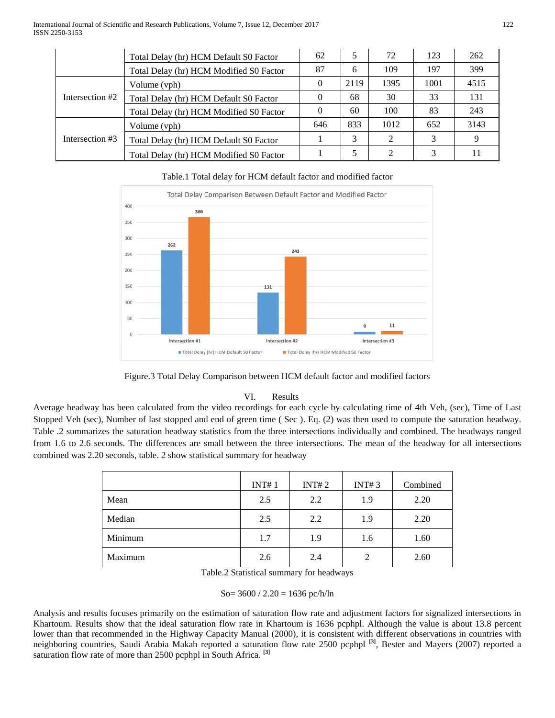|                 | Total Delay (hr) HCM Default S0 Factor  | 62       |      | 72   | 123  | 262  |
|-----------------|-----------------------------------------|----------|------|------|------|------|
|                 | Total Delay (hr) HCM Modified S0 Factor | 87       | 6    | 109  | 197  | 399  |
| Intersection #2 | Volume (vph)                            | $\Omega$ | 2119 | 1395 | 1001 | 4515 |
|                 | Total Delay (hr) HCM Default S0 Factor  | $\theta$ | 68   | 30   | 33   | 131  |
|                 | Total Delay (hr) HCM Modified S0 Factor | 0        | 60   | 100  | 83   | 243  |
| Intersection #3 | Volume (vph)                            | 646      | 833  | 1012 | 652  | 3143 |
|                 | Total Delay (hr) HCM Default S0 Factor  |          | 3    | 2    | 3    | 9    |
|                 | Total Delay (hr) HCM Modified S0 Factor |          |      |      | 3    | 11   |

Total Delay Comparison Between Default Factor and Modified Factor 400 366 350 300 262 243 250  $200$ 150 131 100  $50^{12}$  $11$  $\Omega$ Intersection #2 Intersection #3 Intersection #1 Total Delay (hr) HCM Default SO Factor Total Delay (hr) HCM Modified S0 Factor

# Table.1 Total delay for HCM default factor and modified factor

Figure.3 Total Delay Comparison between HCM default factor and modified factors

## VI. Results

Average headway has been calculated from the video recordings for each cycle by calculating time of 4th Veh, (sec), Time of Last Stopped Veh (sec), Number of last stopped and end of green time ( Sec ). Eq. (2) was then used to compute the saturation headway. Table .2 summarizes the saturation headway statistics from the three intersections individually and combined. The headways ranged from 1.6 to 2.6 seconds. The differences are small between the three intersections. The mean of the headway for all intersections combined was 2.20 seconds, table. 2 show statistical summary for headway

|         | INT#1 | INT#2 | INT#3          | Combined |
|---------|-------|-------|----------------|----------|
| Mean    | 2.5   | 2.2   | 1.9            | 2.20     |
| Median  | 2.5   | 2.2   | 1.9            | 2.20     |
| Minimum | 1.7   | 1.9   | 1.6            | 1.60     |
| Maximum | 2.6   | 2.4   | $\overline{2}$ | 2.60     |

Table.2 Statistical summary for headways

$$
So=3600 / 2.20 = 1636 \text{ pc/h} / \text{ln}
$$

Analysis and results focuses primarily on the estimation of saturation flow rate and adjustment factors for signalized intersections in Khartoum. Results show that the ideal saturation flow rate in Khartoum is 1636 pcphpl. Although the value is about 13.8 percent lower than that recommended in the Highway Capacity Manual (2000), it is consistent with different observations in countries with neighboring countries, Saudi Arabia Makah reported a saturation flow rate 2500 pcphpl **[3]**, Bester and Mayers (2007) reported a saturation flow rate of more than 2500 pcphpl in South Africa. **[3]**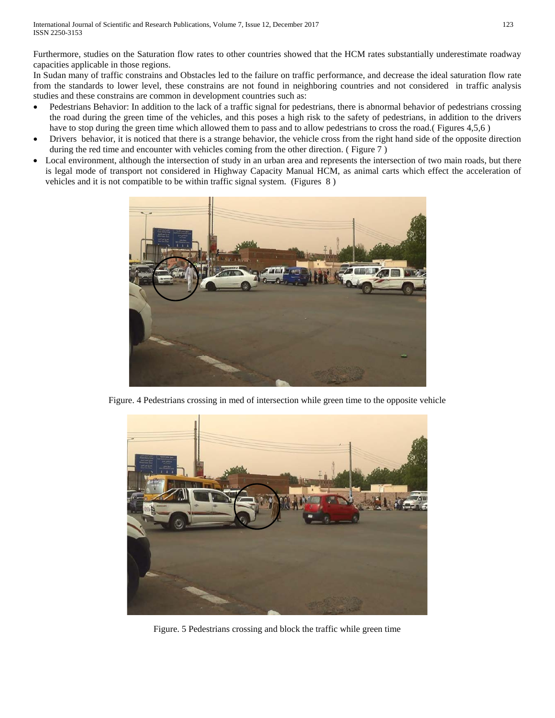Furthermore, studies on the Saturation flow rates to other countries showed that the HCM rates substantially underestimate roadway capacities applicable in those regions.

In Sudan many of traffic constrains and Obstacles led to the failure on traffic performance, and decrease the ideal saturation flow rate from the standards to lower level, these constrains are not found in neighboring countries and not considered in traffic analysis studies and these constrains are common in development countries such as:

- Pedestrians Behavior: In addition to the lack of a traffic signal for pedestrians, there is abnormal behavior of pedestrians crossing the road during the green time of the vehicles, and this poses a high risk to the safety of pedestrians, in addition to the drivers have to stop during the green time which allowed them to pass and to allow pedestrians to cross the road.( Figures 4,5,6)
- Drivers behavior, it is noticed that there is a strange behavior, the vehicle cross from the right hand side of the opposite direction during the red time and encounter with vehicles coming from the other direction. ( Figure 7 )
- Local environment, although the intersection of study in an urban area and represents the intersection of two main roads, but there is legal mode of transport not considered in Highway Capacity Manual HCM, as animal carts which effect the acceleration of vehicles and it is not compatible to be within traffic signal system. (Figures 8 )



Figure. 4 Pedestrians crossing in med of intersection while green time to the opposite vehicle



Figure. 5 Pedestrians crossing and block the traffic while green time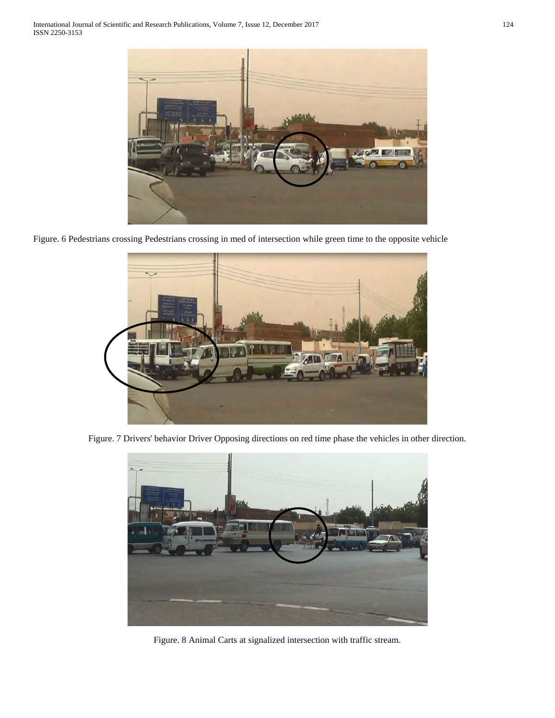

Figure. 6 Pedestrians crossing Pedestrians crossing in med of intersection while green time to the opposite vehicle



Figure. 7 Drivers' behavior Driver Opposing directions on red time phase the vehicles in other direction.



Figure. 8 Animal Carts at signalized intersection with traffic stream.